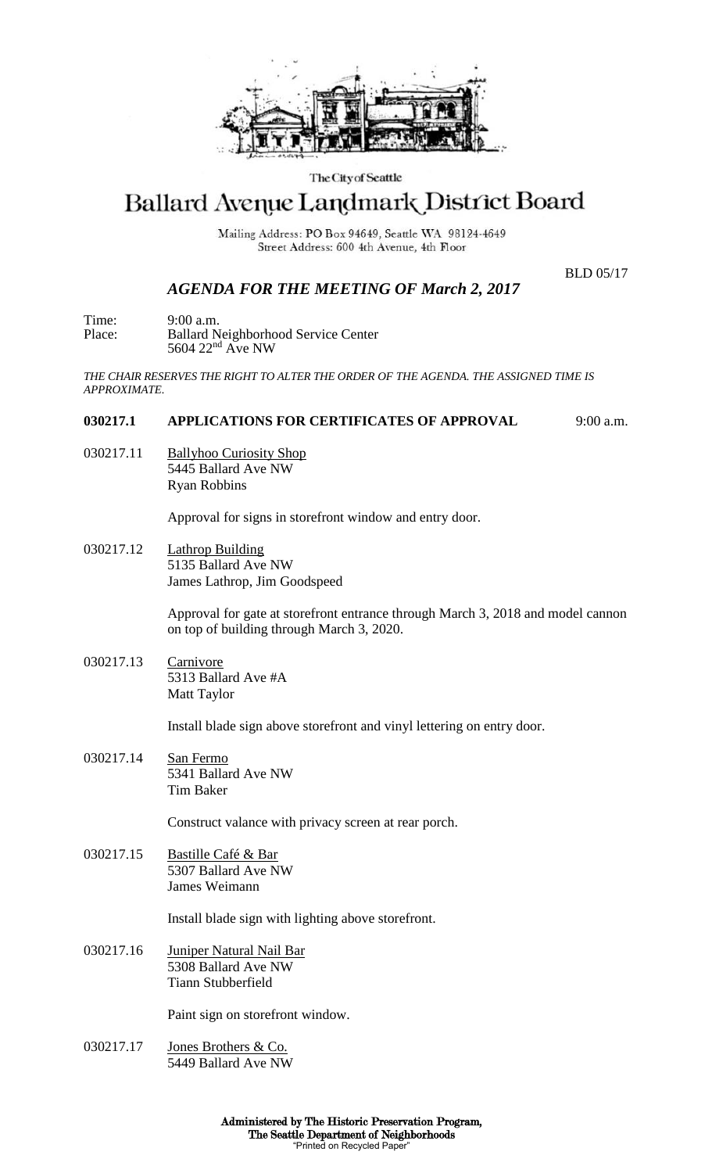

### The City of Seattle

# Ballard Avenue Landmark District Board

Mailing Address: PO Box 94649, Seattle WA 98124-4649 Street Address: 600 4th Avenue, 4th Floor

BLD 05/17

## *AGENDA FOR THE MEETING OF March 2, 2017*

Time: 9:00 a.m. Place: Ballard Neighborhood Service Center 5604 22<sup>nd</sup> Ave NW

*THE CHAIR RESERVES THE RIGHT TO ALTER THE ORDER OF THE AGENDA. THE ASSIGNED TIME IS APPROXIMATE.*

## **030217.1 APPLICATIONS FOR CERTIFICATES OF APPROVAL** 9:00 a.m.

030217.11 Ballyhoo Curiosity Shop 5445 Ballard Ave NW Ryan Robbins

Approval for signs in storefront window and entry door.

030217.12 Lathrop Building 5135 Ballard Ave NW James Lathrop, Jim Goodspeed

> Approval for gate at storefront entrance through March 3, 2018 and model cannon on top of building through March 3, 2020.

030217.13 Carnivore 5313 Ballard Ave #A Matt Taylor

Install blade sign above storefront and vinyl lettering on entry door.

030217.14 San Fermo 5341 Ballard Ave NW Tim Baker

Construct valance with privacy screen at rear porch.

030217.15 Bastille Café & Bar 5307 Ballard Ave NW James Weimann

Install blade sign with lighting above storefront.

030217.16 Juniper Natural Nail Bar 5308 Ballard Ave NW Tiann Stubberfield

Paint sign on storefront window.

030217.17 Jones Brothers & Co. 5449 Ballard Ave NW